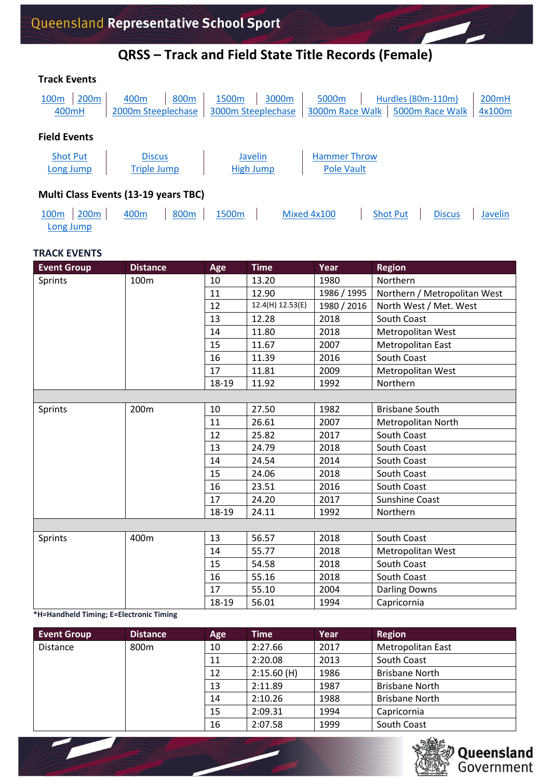### **QRSS – Track and Field State Title Records (Female)**

| <b>Track Events</b>          |                  |                                             |                  |                             |       |                                   |                    |                 |                 |
|------------------------------|------------------|---------------------------------------------|------------------|-----------------------------|-------|-----------------------------------|--------------------|-----------------|-----------------|
| 100 <sub>m</sub><br>400mH    | 200 <sub>m</sub> | 400 <sub>m</sub><br>2000m Steeplechase      | 800m             | 1500m<br>3000m Steeplechase | 3000m | 5000m<br>3000m Race Walk          | Hurdles (80m-110m) | 5000m Race Walk | 200mH<br>4x100m |
| <b>Field Events</b>          |                  |                                             |                  |                             |       |                                   |                    |                 |                 |
| <b>Shot Put</b><br>Long Jump |                  | <b>Discus</b><br><b>Triple Jump</b>         |                  | Javelin<br>High Jump        |       | <b>Hammer Throw</b><br>Pole Vault |                    |                 |                 |
|                              |                  | <b>Multi Class Events (13-19 years TBC)</b> |                  |                             |       |                                   |                    |                 |                 |
| 100 <sub>m</sub>             | 200 <sub>m</sub> | 400 <sub>m</sub>                            | 800 <sub>m</sub> | 1500 <sub>m</sub>           |       | Mixed 4x100                       | <b>Shot Put</b>    | <b>Discus</b>   | Javelin         |

### **TRACK EVENTS**

[Long Jump](#page-5-0)

<span id="page-0-1"></span><span id="page-0-0"></span>

| <b>Event Group</b> | <b>Distance</b> | Age   | <b>Time</b>      | Year        | <b>Region</b>                |
|--------------------|-----------------|-------|------------------|-------------|------------------------------|
| Sprints            | 100m            | 10    | 13.20            | 1980        | Northern                     |
|                    |                 | 11    | 12.90            | 1986 / 1995 | Northern / Metropolitan West |
|                    |                 | 12    | 12.4(H) 12.53(E) | 1980 / 2016 | North West / Met. West       |
|                    |                 | 13    | 12.28            | 2018        | South Coast                  |
|                    |                 | 14    | 11.80            | 2018        | Metropolitan West            |
|                    |                 | 15    | 11.67            | 2007        | Metropolitan East            |
|                    |                 | 16    | 11.39            | 2016        | South Coast                  |
|                    |                 | 17    | 11.81            | 2009        | Metropolitan West            |
|                    |                 | 18-19 | 11.92            | 1992        | Northern                     |
|                    |                 |       |                  |             |                              |
| Sprints            | 200m            | 10    | 27.50            | 1982        | <b>Brisbane South</b>        |
|                    |                 | 11    | 26.61            | 2007        | Metropolitan North           |
|                    |                 | 12    | 25.82            | 2017        | South Coast                  |
|                    |                 | 13    | 24.79            | 2018        | South Coast                  |
|                    |                 | 14    | 24.54            | 2014        | South Coast                  |
|                    |                 | 15    | 24.06            | 2018        | South Coast                  |
|                    |                 | 16    | 23.51            | 2016        | South Coast                  |
|                    |                 | 17    | 24.20            | 2017        | <b>Sunshine Coast</b>        |
|                    |                 | 18-19 | 24.11            | 1992        | Northern                     |
|                    |                 |       |                  |             |                              |
| Sprints            | 400m            | 13    | 56.57            | 2018        | South Coast                  |
|                    |                 | 14    | 55.77            | 2018        | Metropolitan West            |
|                    |                 | 15    | 54.58            | 2018        | South Coast                  |
|                    |                 | 16    | 55.16            | 2018        | South Coast                  |
|                    |                 | 17    | 55.10            | 2004        | <b>Darling Downs</b>         |
|                    |                 | 18-19 | 56.01            | 1994        | Capricornia                  |

<span id="page-0-2"></span>**\*H=Handheld Timing; E=Electronic Timing**

<span id="page-0-3"></span>

| <b>Event Group</b> | <b>Distance</b> | Age | <b>Time</b> | Year | <b>Region</b>            |
|--------------------|-----------------|-----|-------------|------|--------------------------|
| <b>Distance</b>    | 800m            | 10  | 2:27.66     | 2017 | <b>Metropolitan East</b> |
|                    |                 | 11  | 2:20.08     | 2013 | South Coast              |
|                    |                 | 12  | 2:15.60(H)  | 1986 | <b>Brisbane North</b>    |
|                    |                 | 13  | 2:11.89     | 1987 | <b>Brisbane North</b>    |
|                    |                 | 14  | 2:10.26     | 1988 | <b>Brisbane North</b>    |
|                    |                 | 15  | 2:09.31     | 1994 | Capricornia              |
|                    |                 | 16  | 2:07.58     | 1999 | South Coast              |

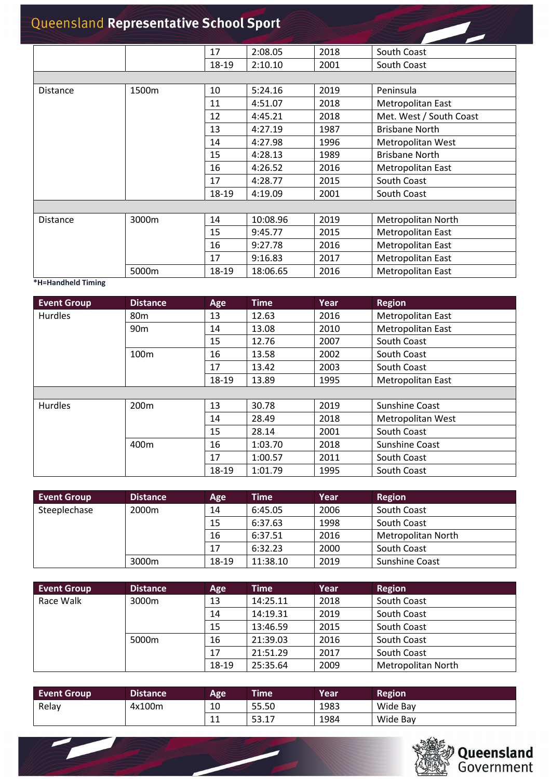<span id="page-1-0"></span>

|                   |       | 17    | 2:08.05  | 2018 | South Coast             |
|-------------------|-------|-------|----------|------|-------------------------|
|                   |       | 18-19 | 2:10.10  | 2001 | South Coast             |
|                   |       |       |          |      |                         |
| <b>Distance</b>   | 1500m | 10    | 5:24.16  | 2019 | Peninsula               |
|                   |       | 11    | 4:51.07  | 2018 | Metropolitan East       |
|                   |       | 12    | 4:45.21  | 2018 | Met. West / South Coast |
|                   |       | 13    | 4:27.19  | 1987 | <b>Brisbane North</b>   |
|                   |       | 14    | 4:27.98  | 1996 | Metropolitan West       |
|                   |       | 15    | 4:28.13  | 1989 | <b>Brisbane North</b>   |
|                   |       | 16    | 4:26.52  | 2016 | Metropolitan East       |
|                   |       | 17    | 4:28.77  | 2015 | South Coast             |
|                   |       | 18-19 | 4:19.09  | 2001 | South Coast             |
|                   |       |       |          |      |                         |
| <b>Distance</b>   | 3000m | 14    | 10:08.96 | 2019 | Metropolitan North      |
|                   |       | 15    | 9:45.77  | 2015 | Metropolitan East       |
|                   |       | 16    | 9:27.78  | 2016 | Metropolitan East       |
|                   |       | 17    | 9:16.83  | 2017 | Metropolitan East       |
| $\cdots$ $\cdots$ | 5000m | 18-19 | 18:06.65 | 2016 | Metropolitan East       |

#### <span id="page-1-2"></span><span id="page-1-1"></span>**\*H=Handheld Timing**

 $\overline{\phantom{0}}$ 

<span id="page-1-3"></span>

| <b>Event Group</b> | <b>Distance</b>  | Age   | <b>Time</b> | Year | <b>Region</b>            |
|--------------------|------------------|-------|-------------|------|--------------------------|
| <b>Hurdles</b>     | 80 <sub>m</sub>  | 13    | 12.63       | 2016 | <b>Metropolitan East</b> |
|                    | 90 <sub>m</sub>  | 14    | 13.08       | 2010 | <b>Metropolitan East</b> |
|                    |                  | 15    | 12.76       | 2007 | South Coast              |
|                    | 100 <sub>m</sub> | 16    | 13.58       | 2002 | South Coast              |
|                    |                  | 17    | 13.42       | 2003 | South Coast              |
|                    |                  | 18-19 | 13.89       | 1995 | Metropolitan East        |
|                    |                  |       |             |      |                          |
| <b>Hurdles</b>     | 200 <sub>m</sub> | 13    | 30.78       | 2019 | Sunshine Coast           |
|                    |                  | 14    | 28.49       | 2018 | Metropolitan West        |
|                    |                  | 15    | 28.14       | 2001 | South Coast              |
|                    | 400 <sub>m</sub> | 16    | 1:03.70     | 2018 | Sunshine Coast           |
|                    |                  | 17    | 1:00.57     | 2011 | South Coast              |
|                    |                  | 18-19 | 1:01.79     | 1995 | South Coast              |

<span id="page-1-6"></span><span id="page-1-5"></span><span id="page-1-4"></span>

| <b>Event Group</b> | <b>Distance</b> | Age   | Time     | Year | <b>Region</b>      |
|--------------------|-----------------|-------|----------|------|--------------------|
| Steeplechase       | 2000m           | 14    | 6:45.05  | 2006 | South Coast        |
|                    |                 | 15    | 6:37.63  | 1998 | South Coast        |
|                    |                 | 16    | 6:37.51  | 2016 | Metropolitan North |
|                    |                 | 17    | 6:32.23  | 2000 | South Coast        |
|                    | 3000m           | 18-19 | 11:38.10 | 2019 | Sunshine Coast     |

<span id="page-1-8"></span><span id="page-1-7"></span>

| <b>Event Group</b> | <b>Distance</b> | Age   | <b>Time</b> | Year | <b>Region</b>      |
|--------------------|-----------------|-------|-------------|------|--------------------|
| Race Walk          | 3000m           | 13    | 14:25.11    | 2018 | South Coast        |
|                    |                 | 14    | 14:19.31    | 2019 | South Coast        |
|                    |                 | 15    | 13:46.59    | 2015 | South Coast        |
|                    | 5000m           | 16    | 21:39.03    | 2016 | South Coast        |
|                    |                 | 17    | 21:51.29    | 2017 | South Coast        |
|                    |                 | 18-19 | 25:35.64    | 2009 | Metropolitan North |

<span id="page-1-10"></span><span id="page-1-9"></span>

| <b>Event Group</b> | Distance <sup>1</sup> | Age                  | <b>Time</b> | Year | Region   |
|--------------------|-----------------------|----------------------|-------------|------|----------|
| Relay              | 4x100m                | 10                   | 55.50       | 1983 | Wide Bay |
|                    |                       | $\overline{A}$<br>ᆂᆂ | 53.17       | 1984 | Wide Bay |

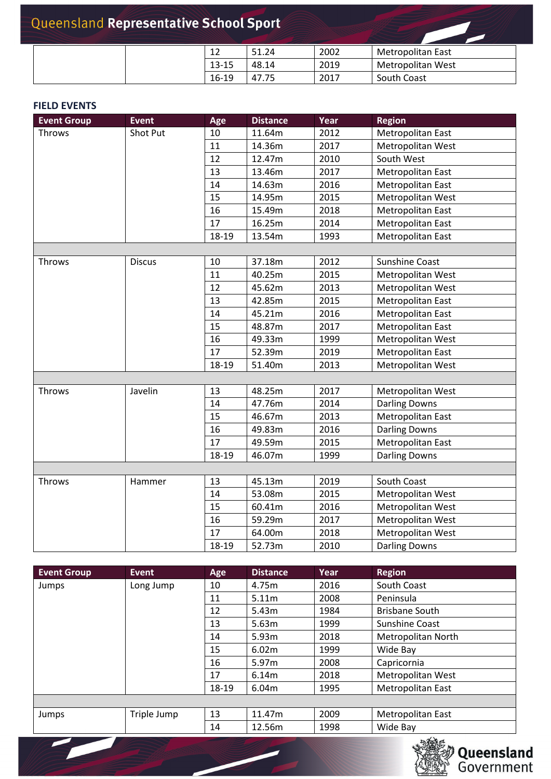| 12        | 51.24 | 2002 | Metropolitan East |
|-----------|-------|------|-------------------|
| $13 - 15$ | 48.14 | 2019 | Metropolitan West |
| $16-19$   | 47.75 | 2017 | South Coast       |

### **FIELD EVENTS**

<span id="page-2-1"></span><span id="page-2-0"></span>

| <b>Event Group</b> | <b>Event</b>  | Age   | <b>Distance</b> | Year | <b>Region</b>        |
|--------------------|---------------|-------|-----------------|------|----------------------|
| Throws             | Shot Put      | 10    | 11.64m          | 2012 | Metropolitan East    |
|                    |               | 11    | 14.36m          | 2017 | Metropolitan West    |
|                    |               | 12    | 12.47m          | 2010 | South West           |
|                    |               | 13    | 13.46m          | 2017 | Metropolitan East    |
|                    |               | 14    | 14.63m          | 2016 | Metropolitan East    |
|                    |               | 15    | 14.95m          | 2015 | Metropolitan West    |
|                    |               | 16    | 15.49m          | 2018 | Metropolitan East    |
|                    |               | 17    | 16.25m          | 2014 | Metropolitan East    |
|                    |               | 18-19 | 13.54m          | 1993 | Metropolitan East    |
|                    |               |       |                 |      |                      |
| Throws             | <b>Discus</b> | 10    | 37.18m          | 2012 | Sunshine Coast       |
|                    |               | 11    | 40.25m          | 2015 | Metropolitan West    |
|                    |               | 12    | 45.62m          | 2013 | Metropolitan West    |
|                    |               | 13    | 42.85m          | 2015 | Metropolitan East    |
|                    |               | 14    | 45.21m          | 2016 | Metropolitan East    |
|                    |               | 15    | 48.87m          | 2017 | Metropolitan East    |
|                    |               | 16    | 49.33m          | 1999 | Metropolitan West    |
|                    |               | 17    | 52.39m          | 2019 | Metropolitan East    |
|                    |               | 18-19 | 51.40m          | 2013 | Metropolitan West    |
|                    |               |       |                 |      |                      |
| Throws             | Javelin       | 13    | 48.25m          | 2017 | Metropolitan West    |
|                    |               | 14    | 47.76m          | 2014 | <b>Darling Downs</b> |
|                    |               | 15    | 46.67m          | 2013 | Metropolitan East    |
|                    |               | 16    | 49.83m          | 2016 | <b>Darling Downs</b> |
|                    |               | 17    | 49.59m          | 2015 | Metropolitan East    |
|                    |               | 18-19 | 46.07m          | 1999 | <b>Darling Downs</b> |
|                    |               |       |                 |      |                      |
| Throws             | Hammer        | 13    | 45.13m          | 2019 | South Coast          |
|                    |               | 14    | 53.08m          | 2015 | Metropolitan West    |
|                    |               | 15    | 60.41m          | 2016 | Metropolitan West    |
|                    |               | 16    | 59.29m          | 2017 | Metropolitan West    |
|                    |               | 17    | 64.00m          | 2018 | Metropolitan West    |
|                    |               | 18-19 | 52.73m          | 2010 | <b>Darling Downs</b> |

<span id="page-2-5"></span><span id="page-2-4"></span><span id="page-2-3"></span><span id="page-2-2"></span>

| <b>Event Group</b> | Event       | Age   | <b>Distance</b> | Year | <b>Region</b>            |
|--------------------|-------------|-------|-----------------|------|--------------------------|
| Jumps              | Long Jump   | 10    | 4.75m           | 2016 | South Coast              |
|                    |             | 11    | 5.11m           | 2008 | Peninsula                |
|                    |             | 12    | 5.43m           | 1984 | <b>Brisbane South</b>    |
|                    |             | 13    | 5.63m           | 1999 | Sunshine Coast           |
|                    |             | 14    | 5.93m           | 2018 | Metropolitan North       |
|                    |             | 15    | 6.02m           | 1999 | Wide Bay                 |
|                    |             | 16    | 5.97m           | 2008 | Capricornia              |
|                    |             | 17    | 6.14m           | 2018 | Metropolitan West        |
|                    |             | 18-19 | 6.04m           | 1995 | <b>Metropolitan East</b> |
|                    |             |       |                 |      |                          |
| Jumps              | Triple Jump | 13    | 11.47m          | 2009 | <b>Metropolitan East</b> |
|                    |             | 14    | 12.56m          | 1998 | Wide Bay                 |

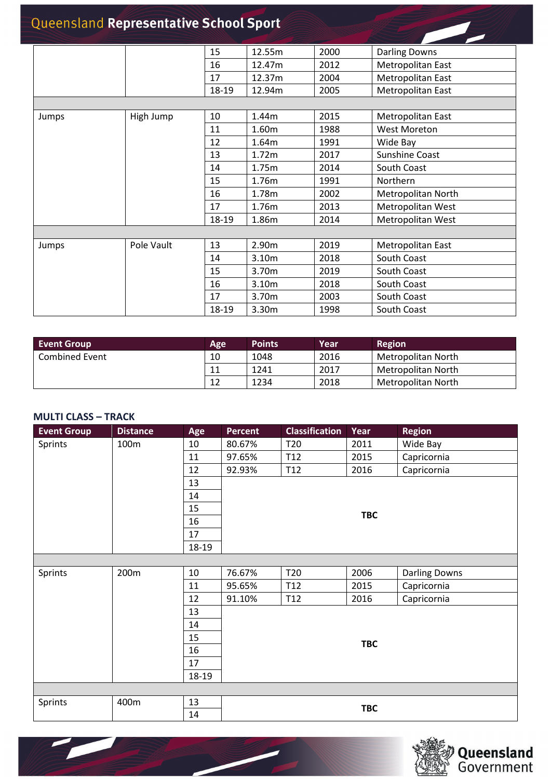<span id="page-3-0"></span>

|       |            | 15    | 12.55m | 2000 | <b>Darling Downs</b> |
|-------|------------|-------|--------|------|----------------------|
|       |            | 16    | 12.47m | 2012 | Metropolitan East    |
|       |            | 17    | 12.37m | 2004 | Metropolitan East    |
|       |            | 18-19 | 12.94m | 2005 | Metropolitan East    |
|       |            |       |        |      |                      |
| Jumps | High Jump  | 10    | 1.44m  | 2015 | Metropolitan East    |
|       |            | 11    | 1.60m  | 1988 | <b>West Moreton</b>  |
|       |            | 12    | 1.64m  | 1991 | Wide Bay             |
|       |            | 13    | 1.72m  | 2017 | Sunshine Coast       |
|       |            | 14    | 1.75m  | 2014 | South Coast          |
|       |            | 15    | 1.76m  | 1991 | Northern             |
|       |            | 16    | 1.78m  | 2002 | Metropolitan North   |
|       |            | 17    | 1.76m  | 2013 | Metropolitan West    |
|       |            | 18-19 | 1.86m  | 2014 | Metropolitan West    |
|       |            |       |        |      |                      |
| Jumps | Pole Vault | 13    | 2.90m  | 2019 | Metropolitan East    |
|       |            | 14    | 3.10m  | 2018 | South Coast          |
|       |            | 15    | 3.70m  | 2019 | South Coast          |
|       |            | 16    | 3.10m  | 2018 | South Coast          |
|       |            | 17    | 3.70m  | 2003 | South Coast          |
|       |            | 18-19 | 3.30m  | 1998 | South Coast          |

<span id="page-3-1"></span>

| <b>Event Group</b>    | Age | <b>Points</b> | Year' | <b>Region</b>      |
|-----------------------|-----|---------------|-------|--------------------|
| <b>Combined Event</b> | 10  | 1048          | 2016  | Metropolitan North |
|                       | 11  | 1241          | 2017  | Metropolitan North |
|                       | 12  | 1234          | 2018  | Metropolitan North |

#### <span id="page-3-2"></span>**MULTI CLASS – TRACK**

<span id="page-3-4"></span> $\sim$ 

<u>a ya</u>

<span id="page-3-3"></span>

| <b>Event Group</b> | <b>Distance</b> | Age   | <b>Percent</b> | <b>Classification</b> | Year       | <b>Region</b>        |  |  |  |  |
|--------------------|-----------------|-------|----------------|-----------------------|------------|----------------------|--|--|--|--|
| Sprints            | 100m            | 10    | 80.67%         | T <sub>20</sub>       | 2011       | Wide Bay             |  |  |  |  |
|                    |                 | 11    | 97.65%         | T <sub>12</sub>       | 2015       | Capricornia          |  |  |  |  |
|                    |                 | 12    | 92.93%         | T <sub>12</sub>       | 2016       | Capricornia          |  |  |  |  |
|                    |                 | 13    |                |                       |            |                      |  |  |  |  |
|                    |                 | 14    |                |                       |            |                      |  |  |  |  |
|                    |                 | 15    |                | <b>TBC</b>            |            |                      |  |  |  |  |
|                    |                 | 16    |                |                       |            |                      |  |  |  |  |
|                    |                 | 17    |                |                       |            |                      |  |  |  |  |
|                    |                 | 18-19 |                |                       |            |                      |  |  |  |  |
|                    |                 |       |                |                       |            |                      |  |  |  |  |
| Sprints            | 200m            | 10    | 76.67%         | T <sub>20</sub>       | 2006       | <b>Darling Downs</b> |  |  |  |  |
|                    |                 | 11    | 95.65%         | T <sub>12</sub>       | 2015       | Capricornia          |  |  |  |  |
|                    |                 | 12    | 91.10%         | T <sub>12</sub>       | 2016       | Capricornia          |  |  |  |  |
|                    |                 | 13    |                |                       |            |                      |  |  |  |  |
|                    |                 | 14    | <b>TBC</b>     |                       |            |                      |  |  |  |  |
|                    |                 | 15    |                |                       |            |                      |  |  |  |  |
|                    |                 | 16    |                |                       |            |                      |  |  |  |  |
|                    |                 | 17    |                |                       |            |                      |  |  |  |  |
|                    |                 | 18-19 |                |                       |            |                      |  |  |  |  |
|                    |                 |       |                |                       |            |                      |  |  |  |  |
| Sprints            | 400m            | 13    |                |                       | <b>TBC</b> |                      |  |  |  |  |
|                    |                 | 14    |                |                       |            |                      |  |  |  |  |

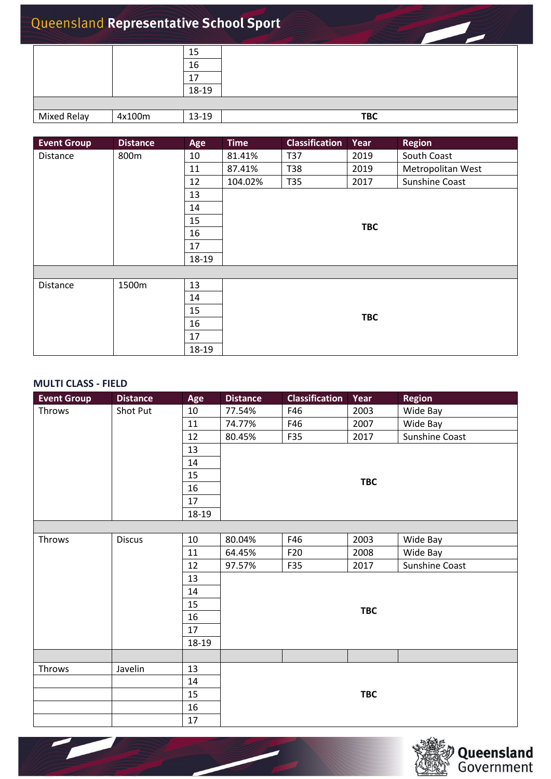|                    |        | 15    |            |
|--------------------|--------|-------|------------|
|                    |        | 16    |            |
|                    |        | 17    |            |
|                    |        | 18-19 |            |
|                    |        |       |            |
| <b>Mixed Relay</b> | 4x100m | 13-19 | <b>TBC</b> |

<span id="page-4-2"></span><span id="page-4-0"></span>

| <b>Event Group</b> | <b>Distance</b> | Age   | <b>Time</b> | <b>Classification</b> | Year       | <b>Region</b>     |  |  |  |  |
|--------------------|-----------------|-------|-------------|-----------------------|------------|-------------------|--|--|--|--|
| Distance           | 800m            | 10    | 81.41%      | T37                   | 2019       | South Coast       |  |  |  |  |
|                    |                 | 11    | 87.41%      | T38                   | 2019       | Metropolitan West |  |  |  |  |
|                    |                 | 12    | 104.02%     | T35                   | 2017       | Sunshine Coast    |  |  |  |  |
|                    |                 | 13    |             |                       |            |                   |  |  |  |  |
|                    |                 | 14    |             |                       |            |                   |  |  |  |  |
|                    |                 | 15    |             |                       |            |                   |  |  |  |  |
|                    |                 | 16    |             |                       | <b>TBC</b> |                   |  |  |  |  |
|                    |                 | 17    |             |                       |            |                   |  |  |  |  |
|                    |                 | 18-19 |             |                       |            |                   |  |  |  |  |
|                    |                 |       |             |                       |            |                   |  |  |  |  |
| Distance           | 1500m           | 13    |             |                       |            |                   |  |  |  |  |
|                    |                 | 14    |             |                       |            |                   |  |  |  |  |
|                    |                 | 15    | <b>TBC</b>  |                       |            |                   |  |  |  |  |
|                    |                 | 16    |             |                       |            |                   |  |  |  |  |
|                    |                 | 17    |             |                       |            |                   |  |  |  |  |
|                    |                 | 18-19 |             |                       |            |                   |  |  |  |  |

### <span id="page-4-3"></span><span id="page-4-1"></span>**MULTI CLASS - FIELD**

<span id="page-4-5"></span><u>e gr</u>

<span id="page-4-4"></span>

| <b>Event Group</b> | <b>Distance</b> | Age   | <b>Distance</b> | <b>Classification</b> | Year       | <b>Region</b>  |  |  |
|--------------------|-----------------|-------|-----------------|-----------------------|------------|----------------|--|--|
| Throws             | Shot Put        | 10    | 77.54%          | F46                   | 2003       | Wide Bay       |  |  |
|                    |                 | 11    | 74.77%          | F46                   | 2007       | Wide Bay       |  |  |
|                    |                 | 12    | 80.45%          | F35                   | 2017       | Sunshine Coast |  |  |
|                    |                 | 13    |                 |                       |            |                |  |  |
|                    |                 | 14    |                 |                       |            |                |  |  |
|                    |                 | 15    |                 |                       |            |                |  |  |
|                    |                 | 16    |                 | <b>TBC</b>            |            |                |  |  |
|                    |                 | 17    |                 |                       |            |                |  |  |
|                    |                 | 18-19 |                 |                       |            |                |  |  |
|                    |                 |       |                 |                       |            |                |  |  |
| Throws             | <b>Discus</b>   | 10    | 80.04%          | F46                   | 2003       | Wide Bay       |  |  |
|                    |                 | 11    | 64.45%          | F <sub>20</sub>       | 2008       | Wide Bay       |  |  |
|                    |                 | 12    | 97.57%          | F35                   | 2017       | Sunshine Coast |  |  |
|                    |                 | 13    |                 |                       |            |                |  |  |
|                    |                 | 14    |                 |                       |            |                |  |  |
|                    |                 | 15    |                 |                       | <b>TBC</b> |                |  |  |
|                    |                 | 16    |                 |                       |            |                |  |  |
|                    |                 | 17    |                 |                       |            |                |  |  |
|                    |                 | 18-19 |                 |                       |            |                |  |  |
|                    |                 |       |                 |                       |            |                |  |  |
| Throws             | Javelin         | 13    |                 |                       |            |                |  |  |
|                    |                 | 14    |                 |                       |            |                |  |  |
|                    |                 | 15    |                 | <b>TBC</b>            |            |                |  |  |
|                    |                 | 16    |                 |                       |            |                |  |  |
|                    |                 | 17    |                 |                       |            |                |  |  |